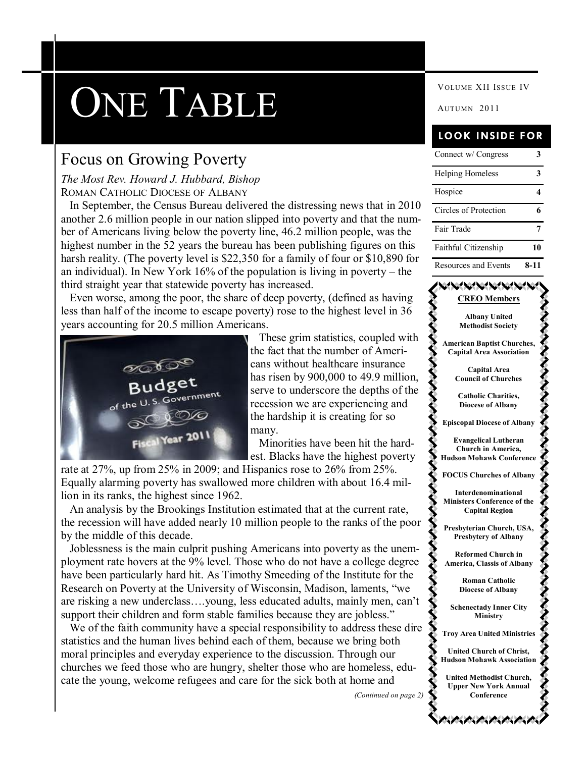# VOLUME XII ISSUE IV VOLUME XII ISSUE IV

### Focus on Growing Poverty

### *The Most Rev. Howard J. Hubbard, Bishop* ROMAN CATHOLIC DIOCESE OF ALBANY

 In September, the Census Bureau delivered the distressing news that in 2010 another 2.6 million people in our nation slipped into poverty and that the number of Americans living below the poverty line, 46.2 million people, was the highest number in the 52 years the bureau has been publishing figures on this harsh reality. (The poverty level is \$22,350 for a family of four or \$10,890 for an individual). In New York 16% of the population is living in poverty – the third straight year that statewide poverty has increased.

 Even worse, among the poor, the share of deep poverty, (defined as having less than half of the income to escape poverty) rose to the highest level in 36 years accounting for 20.5 million Americans.



 These grim statistics, coupled with the fact that the number of Americans without healthcare insurance has risen by 900,000 to 49.9 million, serve to underscore the depths of the recession we are experiencing and the hardship it is creating for so many.

 Minorities have been hit the hardest. Blacks have the highest poverty

rate at 27%, up from 25% in 2009; and Hispanics rose to 26% from 25%. Equally alarming poverty has swallowed more children with about 16.4 million in its ranks, the highest since 1962.

 An analysis by the Brookings Institution estimated that at the current rate, the recession will have added nearly 10 million people to the ranks of the poor by the middle of this decade.

 Joblessness is the main culprit pushing Americans into poverty as the unemployment rate hovers at the 9% level. Those who do not have a college degree have been particularly hard hit. As Timothy Smeeding of the Institute for the Research on Poverty at the University of Wisconsin, Madison, laments, "we are risking a new underclass….young, less educated adults, mainly men, can't support their children and form stable families because they are jobless."

 We of the faith community have a special responsibility to address these dire statistics and the human lives behind each of them, because we bring both moral principles and everyday experience to the discussion. Through our churches we feed those who are hungry, shelter those who are homeless, educate the young, welcome refugees and care for the sick both at home and

*(Continued on page 2)*

### **LOOK INSIDE FOR**

| Connect w/ Congress         |      |
|-----------------------------|------|
| <b>Helping Homeless</b>     | 3    |
| Hospice                     |      |
| Circles of Protection       |      |
| Fair Trade                  |      |
| Faithful Citizenship        | 10   |
| <b>Resources and Events</b> | 8-11 |

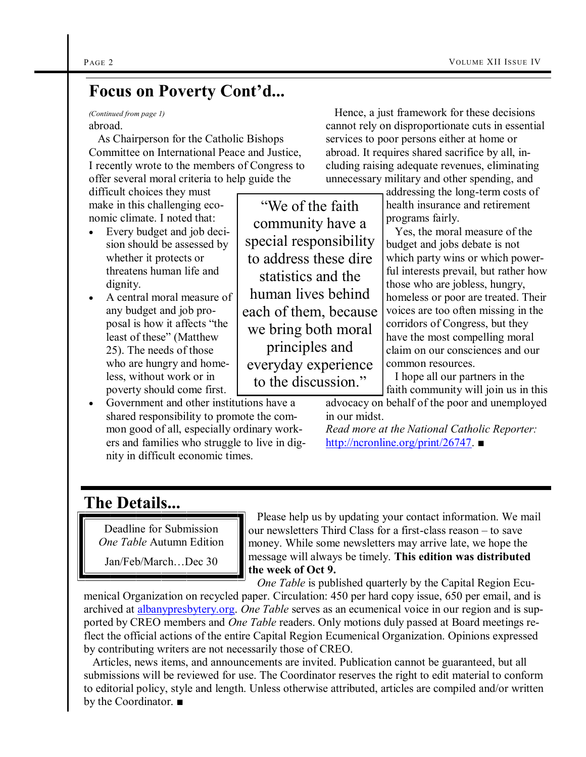### **Focus on Poverty Cont'd...**

abroad. *(Continued from page 1)*

 As Chairperson for the Catholic Bishops Committee on International Peace and Justice, I recently wrote to the members of Congress to offer several moral criteria to help guide the

difficult choices they must make in this challenging economic climate. I noted that:

- Every budget and job decision should be assessed by whether it protects or threatens human life and dignity.
- A central moral measure of any budget and job proposal is how it affects "the least of these" (Matthew 25). The needs of those who are hungry and homeless, without work or in poverty should come first.
- Government and other institutions have a shared responsibility to promote the common good of all, especially ordinary workers and families who struggle to live in dignity in difficult economic times.

―We of the faith community have a special responsibility to address these dire statistics and the human lives behind each of them, because we bring both moral principles and everyday experience to the discussion."

 Hence, a just framework for these decisions cannot rely on disproportionate cuts in essential services to poor persons either at home or abroad. It requires shared sacrifice by all, including raising adequate revenues, eliminating unnecessary military and other spending, and

> addressing the long-term costs of health insurance and retirement programs fairly.

 Yes, the moral measure of the budget and jobs debate is not which party wins or which powerful interests prevail, but rather how those who are jobless, hungry, homeless or poor are treated. Their voices are too often missing in the corridors of Congress, but they have the most compelling moral claim on our consciences and our common resources.

 I hope all our partners in the faith community will join us in this

advocacy on behalf of the poor and unemployed in our midst.

*Read more at the National Catholic Reporter:*  <http://ncronline.org/print/26747>. ■

### **The Details...**

Deadline for Submission *One Table* Autumn Edition

Jan/Feb/March…Dec 30

 Please help us by updating your contact information. We mail our newsletters Third Class for a first-class reason – to save money. While some newsletters may arrive late, we hope the message will always be timely. **This edition was distributed the week of Oct 9.**

 *One Table* is published quarterly by the Capital Region Ecumenical Organization on recycled paper. Circulation: 450 per hard copy issue, 650 per email, and is archived at [albanypresbytery.org.](http://albanypresbytery.org/one_table_newsletter.html) *One Table* serves as an ecumenical voice in our region and is supported by CREO members and *One Table* readers. Only motions duly passed at Board meetings reflect the official actions of the entire Capital Region Ecumenical Organization. Opinions expressed by contributing writers are not necessarily those of CREO.

 Articles, news items, and announcements are invited. Publication cannot be guaranteed, but all submissions will be reviewed for use. The Coordinator reserves the right to edit material to conform to editorial policy, style and length. Unless otherwise attributed, articles are compiled and/or written by the Coordinator. ■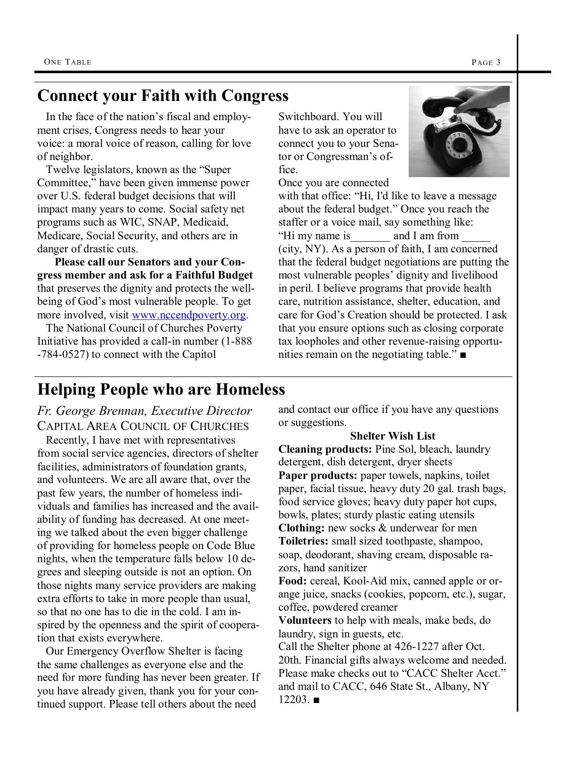### **Connect your Faith with Congress**

 In the face of the nation's fiscal and employment crises, Congress needs to hear your voice: a moral voice of reason, calling for love of neighbor.

Twelve legislators, known as the "Super" Committee," have been given immense power over U.S. federal budget decisions that will impact many years to come. Social safety net programs such as WIC, SNAP, Medicaid, Medicare, Social Security, and others are in danger of drastic cuts.

 **Please call our Senators and your Congress member and ask for a Faithful Budget**  that preserves the dignity and protects the wellbeing of God's most vulnerable people. To get more involved, visit [www.nccendpoverty.org.](http://www.nccendpoverty.org/budget/faithfulbudget.html)

 The National Council of Churches Poverty Initiative has provided a call-in number ([1-888](tel:1-888-784-0527) [-784-0527\)](tel:1-888-784-0527) to connect with the Capitol

Switchboard. You will have to ask an operator to connect you to your Senator or Congressman's office.

Once you are connected



with that office: "Hi, I'd like to leave a message about the federal budget." Once you reach the staffer or a voice mail, say something like: "Hi my name is  $\qquad \qquad$  and I am from (city, NY). As a person of faith, I am concerned that the federal budget negotiations are putting the most vulnerable peoples' dignity and livelihood in peril. I believe programs that provide health care, nutrition assistance, shelter, education, and care for God's Creation should be protected. I ask that you ensure options such as closing corporate tax loopholes and other revenue-raising opportunities remain on the negotiating table." $\blacksquare$ 

### **Helping People who are Homeless**

*Fr. George Brennan, Executive Director* CAPITAL AREA COUNCIL OF CHURCHES

 Recently, I have met with representatives from social service agencies, directors of shelter facilities, administrators of foundation grants, and volunteers. We are all aware that, over the past few years, the number of homeless individuals and families has increased and the availability of funding has decreased. At one meeting we talked about the even bigger challenge of providing for homeless people on Code Blue nights, when the temperature falls below 10 degrees and sleeping outside is not an option. On those nights many service providers are making extra efforts to take in more people than usual, so that no one has to die in the cold. I am inspired by the openness and the spirit of cooperation that exists everywhere.

 Our Emergency Overflow Shelter is facing the same challenges as everyone else and the need for more funding has never been greater. If you have already given, thank you for your continued support. Please tell others about the need

and contact our office if you have any questions or suggestions.

### **Shelter Wish List**

**Cleaning products:** Pine Sol, bleach, laundry detergent, dish detergent, dryer sheets **Paper products:** paper towels, napkins, toilet paper, facial tissue, heavy duty 20 gal. trash bags, food service gloves; heavy duty paper hot cups, bowls, plates; sturdy plastic eating utensils **Clothing:** new socks & underwear for men **Toiletries:** small sized toothpaste, shampoo, soap, deodorant, shaving cream, disposable razors, hand sanitizer

**Food:** cereal, Kool-Aid mix, canned apple or orange juice, snacks (cookies, popcorn, etc.), sugar, coffee, powdered creamer

**Volunteers** to help with meals, make beds, do laundry, sign in guests, etc.

Call the Shelter phone at 426-1227 after Oct. 20th. Financial gifts always welcome and needed. Please make checks out to "CACC Shelter Acct." and mail to CACC, 646 State St., Albany, NY  $12203$  ■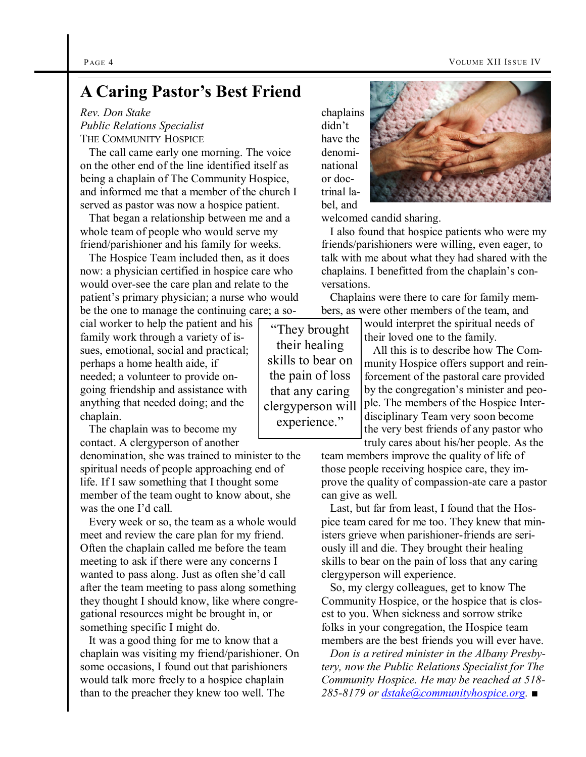### **A Caring Pastor's Best Friend**

*Rev. Don Stake Public Relations Specialist* THE COMMUNITY HOSPICE

 The call came early one morning. The voice on the other end of the line identified itself as being a chaplain of The Community Hospice, and informed me that a member of the church I served as pastor was now a hospice patient.

 That began a relationship between me and a whole team of people who would serve my friend/parishioner and his family for weeks.

 The Hospice Team included then, as it does now: a physician certified in hospice care who would over-see the care plan and relate to the patient's primary physician; a nurse who would be the one to manage the continuing care; a so-

cial worker to help the patient and his family work through a variety of issues, emotional, social and practical; perhaps a home health aide, if needed; a volunteer to provide ongoing friendship and assistance with anything that needed doing; and the chaplain.

 The chaplain was to become my contact. A clergyperson of another

denomination, she was trained to minister to the spiritual needs of people approaching end of life. If I saw something that I thought some member of the team ought to know about, she was the one I'd call.

 Every week or so, the team as a whole would meet and review the care plan for my friend. Often the chaplain called me before the team meeting to ask if there were any concerns I wanted to pass along. Just as often she'd call after the team meeting to pass along something they thought I should know, like where congregational resources might be brought in, or something specific I might do.

 It was a good thing for me to know that a chaplain was visiting my friend/parishioner. On some occasions, I found out that parishioners would talk more freely to a hospice chaplain than to the preacher they knew too well. The

chaplains didn't have the denominational or doctrinal label, and



welcomed candid sharing.

 I also found that hospice patients who were my friends/parishioners were willing, even eager, to talk with me about what they had shared with the chaplains. I benefitted from the chaplain's conversations.

 Chaplains were there to care for family members, as were other members of the team, and

would interpret the spiritual needs of their loved one to the family.

 All this is to describe how The Community Hospice offers support and reinforcement of the pastoral care provided by the congregation's minister and people. The members of the Hospice Interdisciplinary Team very soon become the very best friends of any pastor who truly cares about his/her people. As the

team members improve the quality of life of those people receiving hospice care, they improve the quality of compassion-ate care a pastor can give as well.

 Last, but far from least, I found that the Hospice team cared for me too. They knew that ministers grieve when parishioner-friends are seriously ill and die. They brought their healing skills to bear on the pain of loss that any caring clergyperson will experience.

 So, my clergy colleagues, get to know The Community Hospice, or the hospice that is closest to you. When sickness and sorrow strike folks in your congregation, the Hospice team members are the best friends you will ever have.

 *Don is a retired minister in the Albany Presbytery, now the Public Relations Specialist for The Community Hospice. He may be reached at 518- 285-8179 or [dstake@communityhospice.org](mailto:dstake@communityhospice.org). ■*

―They brought their healing skills to bear on the pain of loss that any caring clergyperson will experience."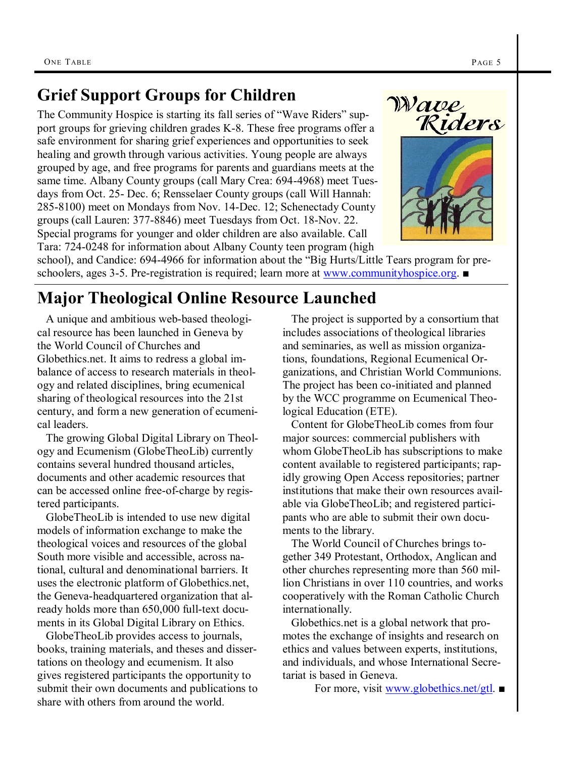### **Grief Support Groups for Children**

The Community Hospice is starting its fall series of "Wave Riders" support groups for grieving children grades K-8. These free programs offer a safe environment for sharing grief experiences and opportunities to seek healing and growth through various activities. Young people are always grouped by age, and free programs for parents and guardians meets at the same time. Albany County groups (call Mary Crea: 694-4968) meet Tuesdays from Oct. 25- Dec. 6; Rensselaer County groups (call Will Hannah: 285-8100) meet on Mondays from Nov. 14-Dec. 12; Schenectady County groups (call Lauren: 377-8846) meet Tuesdays from Oct. 18-Nov. 22. Special programs for younger and older children are also available. Call Tara: 724-0248 for information about Albany County teen program (high



school), and Candice: 694-4966 for information about the "Big Hurts/Little Tears program for preschoolers, ages 3-5. Pre-registration is required; learn more at [www.communityhospice.org](http://www.communityhospice.org/page.aspx?pid=266). ■

### **Major Theological Online Resource Launched**

 A unique and ambitious web-based theological resource has been launched in Geneva by the World Council of Churches and Globethics.net. It aims to redress a global imbalance of access to research materials in theology and related disciplines, bring ecumenical sharing of theological resources into the 21st century, and form a new generation of ecumenical leaders.

 The growing Global Digital Library on Theology and Ecumenism (GlobeTheoLib) currently contains several hundred thousand articles, documents and other academic resources that can be accessed online free-of-charge by registered participants.

 GlobeTheoLib is intended to use new digital models of information exchange to make the theological voices and resources of the global South more visible and accessible, across national, cultural and denominational barriers. It uses the electronic platform of Globethics.net, the Geneva-headquartered organization that already holds more than 650,000 full-text documents in its Global Digital Library on Ethics.

 GlobeTheoLib provides access to journals, books, training materials, and theses and dissertations on theology and ecumenism. It also gives registered participants the opportunity to submit their own documents and publications to share with others from around the world.

 The project is supported by a consortium that includes associations of theological libraries and seminaries, as well as mission organizations, foundations, Regional Ecumenical Organizations, and Christian World Communions. The project has been co-initiated and planned by the WCC programme on Ecumenical Theological Education (ETE).

 Content for GlobeTheoLib comes from four major sources: commercial publishers with whom GlobeTheoLib has subscriptions to make content available to registered participants; rapidly growing Open Access repositories; partner institutions that make their own resources available via GlobeTheoLib; and registered participants who are able to submit their own documents to the library.

 The World Council of Churches brings together 349 Protestant, Orthodox, Anglican and other churches representing more than 560 million Christians in over 110 countries, and works cooperatively with the Roman Catholic Church internationally.

 Globethics.net is a global network that promotes the exchange of insights and research on ethics and values between experts, institutions, and individuals, and whose International Secretariat is based in Geneva.

For more, visit [www.globethics.net/gtl](http://www.globethics.net/gtl). ■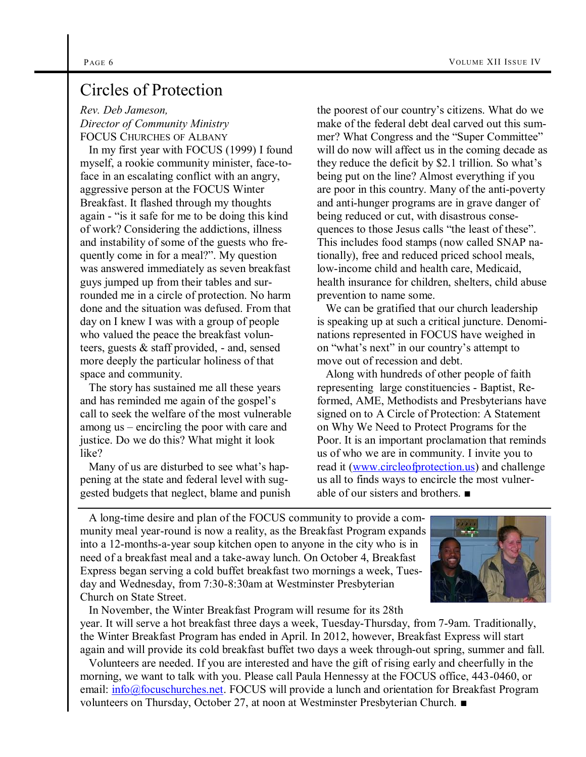### Circles of Protection

*Rev. Deb Jameson,* 

*Director of Community Ministry* FOCUS CHURCHES OF ALBANY

 In my first year with FOCUS (1999) I found myself, a rookie community minister, face-toface in an escalating conflict with an angry, aggressive person at the FOCUS Winter Breakfast. It flashed through my thoughts again - "is it safe for me to be doing this kind of work? Considering the addictions, illness and instability of some of the guests who frequently come in for a meal?". My question was answered immediately as seven breakfast guys jumped up from their tables and surrounded me in a circle of protection. No harm done and the situation was defused. From that day on I knew I was with a group of people who valued the peace the breakfast volunteers, guests & staff provided, - and, sensed more deeply the particular holiness of that space and community.

 The story has sustained me all these years and has reminded me again of the gospel's call to seek the welfare of the most vulnerable among us – encircling the poor with care and justice. Do we do this? What might it look like?

 Many of us are disturbed to see what's happening at the state and federal level with suggested budgets that neglect, blame and punish the poorest of our country's citizens. What do we make of the federal debt deal carved out this summer? What Congress and the "Super Committee" will do now will affect us in the coming decade as they reduce the deficit by \$2.1 trillion. So what's being put on the line? Almost everything if you are poor in this country. Many of the anti-poverty and anti-hunger programs are in grave danger of being reduced or cut, with disastrous consequences to those Jesus calls "the least of these". This includes food stamps (now called SNAP nationally), free and reduced priced school meals, low-income child and health care, Medicaid, health insurance for children, shelters, child abuse prevention to name some.

 We can be gratified that our church leadership is speaking up at such a critical juncture. Denominations represented in FOCUS have weighed in on "what's next" in our country's attempt to move out of recession and debt.

 Along with hundreds of other people of faith representing large constituencies - Baptist, Reformed, AME, Methodists and Presbyterians have signed on to A Circle of Protection: A Statement on Why We Need to Protect Programs for the Poor. It is an important proclamation that reminds us of who we are in community. I invite you to read it ([www.circleofprotection.us\)](http://www.circleofprotection.us) and challenge us all to finds ways to encircle the most vulnerable of our sisters and brothers. ■

 A long-time desire and plan of the FOCUS community to provide a community meal year-round is now a reality, as the Breakfast Program expands into a 12-months-a-year soup kitchen open to anyone in the city who is in need of a breakfast meal and a take-away lunch. On October 4, Breakfast Express began serving a cold buffet breakfast two mornings a week, Tuesday and Wednesday, from 7:30-8:30am at Westminster Presbyterian Church on State Street.

 In November, the Winter Breakfast Program will resume for its 28th year. It will serve a hot breakfast three days a week, Tuesday-Thursday, from 7-9am. Traditionally, the Winter Breakfast Program has ended in April. In 2012, however, Breakfast Express will start again and will provide its cold breakfast buffet two days a week through-out spring, summer and fall.

 Volunteers are needed. If you are interested and have the gift of rising early and cheerfully in the morning, we want to talk with you. Please call Paula Hennessy at the FOCUS office, 443-0460, or email: [info@focuschurches.net.](mailto:info@focuschurches.net) FOCUS will provide a lunch and orientation for Breakfast Program volunteers on Thursday, October 27, at noon at Westminster Presbyterian Church. ■

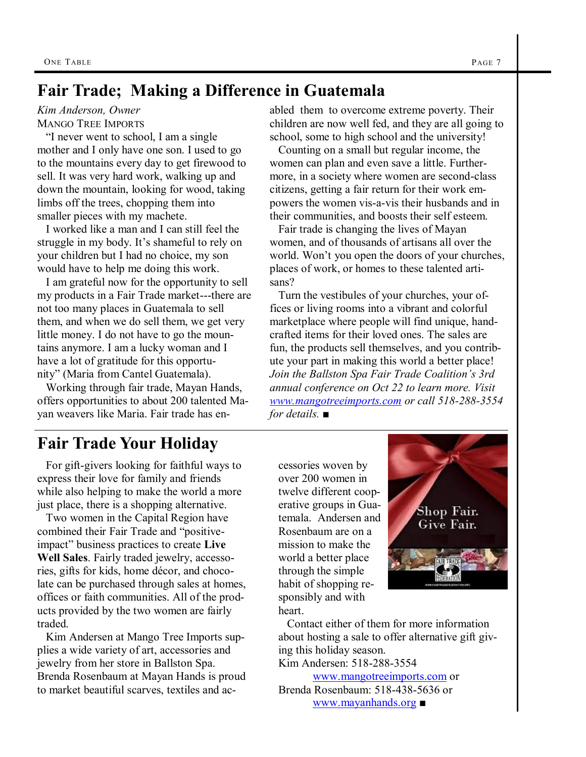### **Fair Trade; Making a Difference in Guatemala**

### *Kim Anderson, Owner*

MANGO TREE IMPORTS

"I never went to school, I am a single mother and I only have one son. I used to go to the mountains every day to get firewood to sell. It was very hard work, walking up and down the mountain, looking for wood, taking limbs off the trees, chopping them into smaller pieces with my machete.

 I worked like a man and I can still feel the struggle in my body. It's shameful to rely on your children but I had no choice, my son would have to help me doing this work.

 I am grateful now for the opportunity to sell my products in a Fair Trade market---there are not too many places in Guatemala to sell them, and when we do sell them, we get very little money. I do not have to go the mountains anymore. I am a lucky woman and I have a lot of gratitude for this opportunity" (Maria from Cantel Guatemala).

 Working through fair trade, Mayan Hands, offers opportunities to about 200 talented Mayan weavers like Maria. Fair trade has enabled them to overcome extreme poverty. Their children are now well fed, and they are all going to school, some to high school and the university!

 Counting on a small but regular income, the women can plan and even save a little. Furthermore, in a society where women are second-class citizens, getting a fair return for their work empowers the women vis-a-vis their husbands and in their communities, and boosts their self esteem.

 Fair trade is changing the lives of Mayan women, and of thousands of artisans all over the world. Won't you open the doors of your churches, places of work, or homes to these talented artisans?

 Turn the vestibules of your churches, your offices or living rooms into a vibrant and colorful marketplace where people will find unique, handcrafted items for their loved ones. The sales are fun, the products sell themselves, and you contribute your part in making this world a better place! *Join the Ballston Spa Fair Trade Coalition's 3rd annual conference on Oct 22 to learn more. Visit [www.mangotreeimports.com](http://www.mangotreeimports.com) or call 518-288-3554 for details.* ■

### **Fair Trade Your Holiday**

 For gift-givers looking for faithful ways to express their love for family and friends while also helping to make the world a more just place, there is a shopping alternative.

 Two women in the Capital Region have combined their Fair Trade and "positiveimpact" business practices to create **Live Well Sales**. Fairly traded jewelry, accessories, gifts for kids, home décor, and chocolate can be purchased through sales at homes, offices or faith communities. All of the products provided by the two women are fairly traded.

 Kim Andersen at Mango Tree Imports supplies a wide variety of art, accessories and jewelry from her store in Ballston Spa. Brenda Rosenbaum at Mayan Hands is proud to market beautiful scarves, textiles and accessories woven by over 200 women in twelve different cooperative groups in Guatemala. Andersen and Rosenbaum are on a mission to make the world a better place through the simple habit of shopping responsibly and with heart.



 Contact either of them for more information about hosting a sale to offer alternative gift giving this holiday season. Kim Andersen: 518-288-3554 [www.mangotreeimports.com](http://www.mangotreeimports.com) or Brenda Rosenbaum: 518-438-5636 or

[www.mayanhands.org](http://www.mayanhands.org) ■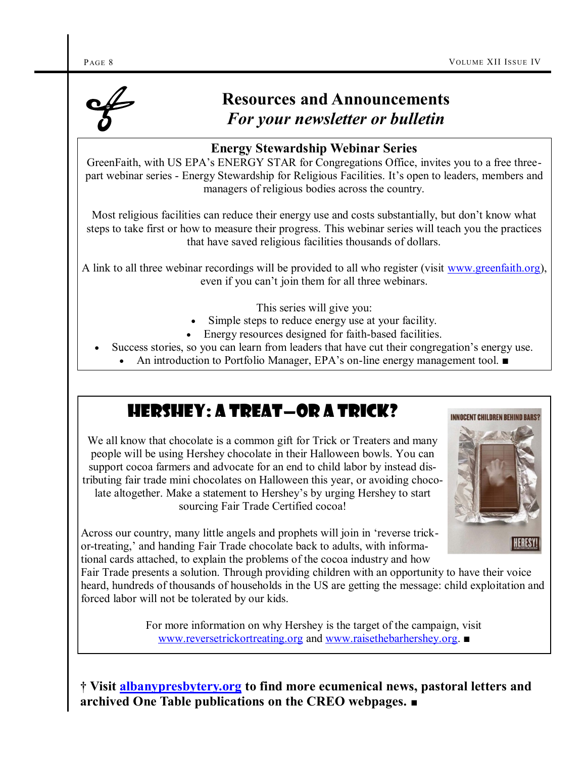

## **Resources and Announcements**  *For your newsletter or bulletin*

### **Energy Stewardship Webinar Series**

GreenFaith, with US EPA's ENERGY STAR for Congregations Office, invites you to a free threepart webinar series - Energy Stewardship for Religious Facilities. It's open to leaders, members and managers of religious bodies across the country.

Most religious facilities can reduce their energy use and costs substantially, but don't know what steps to take first or how to measure their progress. This webinar series will teach you the practices that have saved religious facilities thousands of dollars.

A link to all three webinar recordings will be provided to all who register (visit [www.greenfaith.org\),](https://www.z2systems.com/np/clients/greenfaith/event.jsp?event=147&tr=y&auid=9604945) even if you can't join them for all three webinars.

- This series will give you:
- Simple steps to reduce energy use at your facility.
- Energy resources designed for faith-based facilities.
- Success stories, so you can learn from leaders that have cut their congregation's energy use.
	- An introduction to Portfolio Manager, EPA's on-line energy management tool. ■

### Hershey: a treat—or a trick?

We all know that chocolate is a common gift for Trick or Treaters and many people will be using Hershey chocolate in their Halloween bowls. You can support cocoa farmers and advocate for an end to child labor by instead distributing fair trade mini chocolates on Halloween this year, or avoiding chocolate altogether. Make a statement to Hershey's by urging Hershey to start sourcing Fair Trade Certified cocoa!



Across our country, many little angels and prophets will join in ‗reverse trickor-treating,' and handing Fair Trade chocolate back to adults, with informational cards attached, to explain the problems of the cocoa industry and how

Fair Trade presents a solution. Through providing children with an opportunity to have their voice heard, hundreds of thousands of households in the US are getting the message: child exploitation and forced labor will not be tolerated by our kids.

> For more information on why Hershey is the target of the campaign, visit [www.reversetrickortreating.org](http://www.reversetrickortreating.org) and [www.raisethebarhershey.org](http://www.raisethebarhershey.org). ■

**† Visit [albanypresbytery.org](http://www.albanypresbytery.org/one_table_newsletter.html) to find more ecumenical news, pastoral letters and archived One Table publications on the CREO webpages.** ■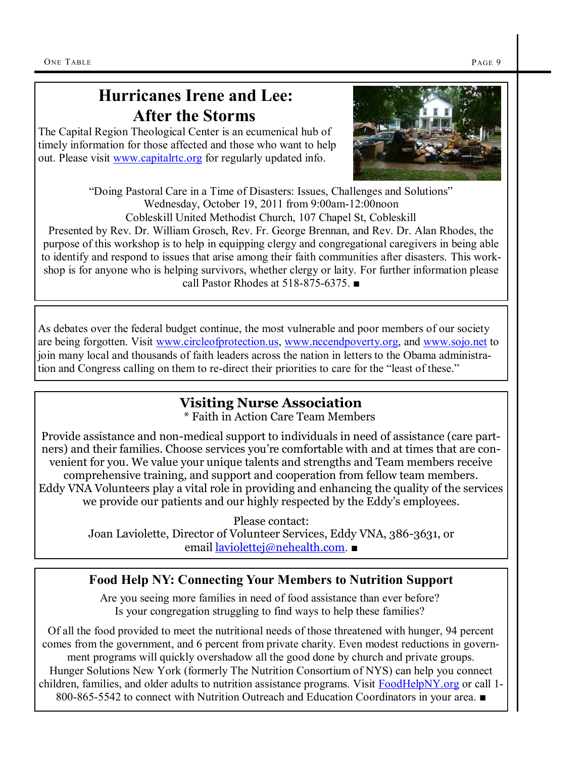### **Hurricanes Irene and Lee: After the Storms**

The Capital Region Theological Center is an ecumenical hub of timely information for those affected and those who want to help out. Please visit [www.capitalrtc.org](http://capitalrtc.org/main/index.php?m=1&p=33) for regularly updated info.



"Doing Pastoral Care in a Time of Disasters: Issues, Challenges and Solutions" Wednesday, October 19, 2011 from 9:00am-12:00noon Cobleskill United Methodist Church, 107 Chapel St, Cobleskill

Presented by Rev. Dr. William Grosch, Rev. Fr. George Brennan, and Rev. Dr. Alan Rhodes, the purpose of this workshop is to help in equipping clergy and congregational caregivers in being able to identify and respond to issues that arise among their faith communities after disasters. This workshop is for anyone who is helping survivors, whether clergy or laity. For further information please call Pastor Rhodes at 518-875-6375. ■

As debates over the federal budget continue, the most vulnerable and poor members of our society are being forgotten. Visit [www.circleofprotection.us,](http://www.circleofprotection.us) [www.nccendpoverty.org,](http://www.nccendpoverty.org/take%20action/faithfulbudget.php) and [www.sojo.net](http://sojo.net/index.cfm?action=news.display_article&mode=p&NewsID=9655) to join many local and thousands of faith leaders across the nation in letters to the Obama administration and Congress calling on them to re-direct their priorities to care for the "least of these."

### **Visiting Nurse Association**

\* Faith in Action Care Team Members

Provide assistance and non-medical support to individuals in need of assistance (care partners) and their families. Choose services you're comfortable with and at times that are convenient for you. We value your unique talents and strengths and Team members receive comprehensive training, and support and cooperation from fellow team members. Eddy VNA Volunteers play a vital role in providing and enhancing the quality of the services we provide our patients and our highly respected by the Eddy's employees.

> Please contact: Joan Laviolette, Director of Volunteer Services, Eddy VNA, 386-3631, or email [laviolettej@nehealth.com](mailto:laviolettej@nehealth.com). ■

### **Food Help NY: Connecting Your Members to Nutrition Support**

Are you seeing more families in need of food assistance than ever before? Is your congregation struggling to find ways to help these families?

Of all the food provided to meet the nutritional needs of those threatened with hunger, 94 percent comes from the government, and 6 percent from private charity. Even modest reductions in government programs will quickly overshadow all the good done by church and private groups. Hunger Solutions New York (formerly The Nutrition Consortium of NYS) can help you connect children, families, and older adults to nutrition assistance programs. Visit [FoodHelpNY.org](http://www.foodhelpny.org) or call 1-800-865-5542 to connect with Nutrition Outreach and Education Coordinators in your area. ■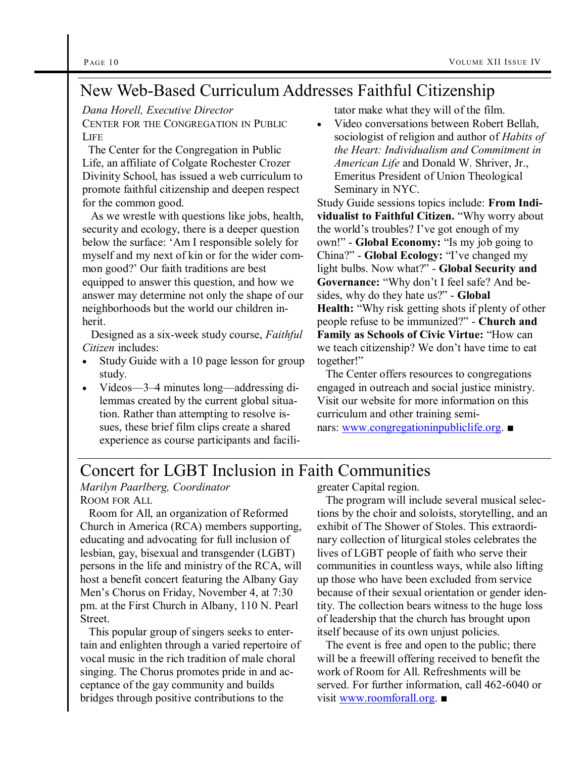## New Web-Based Curriculum Addresses Faithful Citizenship

*Dana Horell, Executive Director*

CENTER FOR THE C[ONGREGATION](http://www.congregationinpubliclife.org/) IN PUBLIC **L[IFE](http://www.congregationinpubliclife.org/)** 

 The [Center for the Congregation in Public](http://www.congregationinpubliclife.org/)  [Life,](http://www.congregationinpubliclife.org/) an affiliate of [Colgate Rochester Crozer](http://www.crcds.edu/)  [Divinity School,](http://www.crcds.edu/) has issued a web curriculum to promote faithful citizenship and deepen respect for the common good.

 As we wrestle with questions like jobs, health, security and ecology, there is a deeper question below the surface: ‗Am I responsible solely for myself and my next of kin or for the wider common good?' Our faith traditions are best equipped to answer this question, and how we answer may determine not only the shape of our neighborhoods but the world our children inherit.

 Designed as a six-week study course, *Faithful Citizen* includes:

- Study Guide with a 10 page lesson for group study.
- Videos—3–4 minutes long—addressing dilemmas created by the current global situation. Rather than attempting to resolve issues, these brief film clips create a shared experience as course participants and facili-

tator make what they will of the film.

 Video conversations between Robert Bellah, sociologist of religion and author of *[Habits of](http://www.amazon.com/Habits-Heart-Individualism-Commitment-American/dp/0520254198/ref=sr_1_1?s=books&ie=UTF8&qid=1315590333&sr=1-1)  [the Heart: Individualism and Commitment in](http://www.amazon.com/Habits-Heart-Individualism-Commitment-American/dp/0520254198/ref=sr_1_1?s=books&ie=UTF8&qid=1315590333&sr=1-1)  [American Life](http://www.amazon.com/Habits-Heart-Individualism-Commitment-American/dp/0520254198/ref=sr_1_1?s=books&ie=UTF8&qid=1315590333&sr=1-1)* and Donald W. Shriver, Jr., Emeritus President of Union Theological Seminary in NYC.

Study Guide sessions topics include: **From Indi**vidualist to Faithful Citizen. "Why worry about the world's troubles? I've got enough of my own!" - **Global Economy:** "Is my job going to China?" - **Global Ecology:** "I've changed my light bulbs. Now what?" - Global Security and Governance: "Why don't I feel safe? And besides, why do they hate us?" - **Global Health:** "Why risk getting shots if plenty of other people refuse to be immunized?‖ - **Church and Family as Schools of Civic Virtue: "How can** we teach citizenship? We don't have time to eat together!"

 The Center offers resources to congregations engaged in outreach and social justice ministry. Visit our website for more information on this curriculum and other training seminars: [www.congregationinpubliclife.org](http://www.congregationinpubliclife.org/). ■

### Concert for LGBT Inclusion in Faith Communities

*Marilyn Paarlberg, Coordinator* ROOM FOR ALL

 Room for All, an organization of Reformed Church in America (RCA) members supporting, educating and advocating for full inclusion of lesbian, gay, bisexual and transgender (LGBT) persons in the life and ministry of the RCA, will host a benefit concert featuring the Albany Gay Men's Chorus on Friday, November 4, at 7:30 pm. at the First Church in Albany, 110 N. Pearl **Street**.

 This popular group of singers seeks to entertain and enlighten through a varied repertoire of vocal music in the rich tradition of male choral singing. The Chorus promotes pride in and acceptance of the gay community and builds bridges through positive contributions to the

greater Capital region.

 The program will include several musical selections by the choir and soloists, storytelling, and an exhibit of The Shower of Stoles. This extraordinary collection of liturgical stoles celebrates the lives of LGBT people of faith who serve their communities in countless ways, while also lifting up those who have been excluded from service because of their sexual orientation or gender identity. The collection bears witness to the huge loss of leadership that the church has brought upon itself because of its own unjust policies.

 The event is free and open to the public; there will be a freewill offering received to benefit the work of Room for All. Refreshments will be served. For further information, call 462-6040 or visit [www.roomforall.org.](http://www.roomforall.org) ■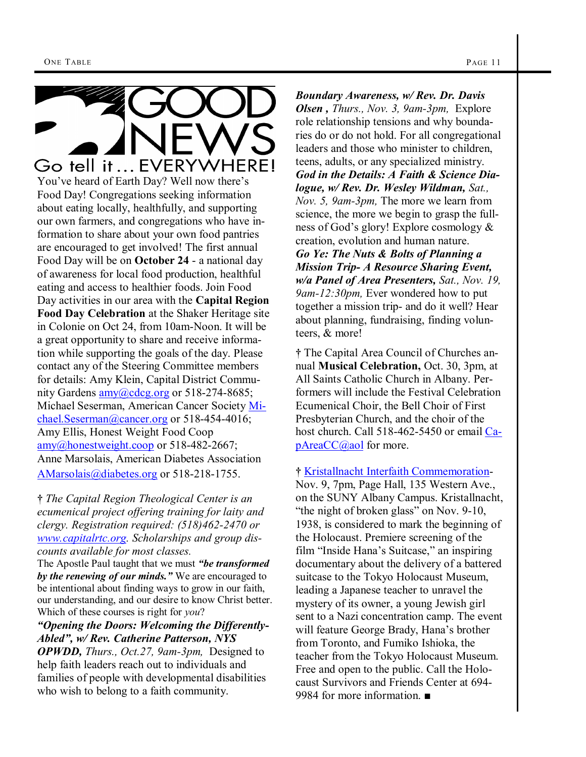### Go tell it... EVERYWHERE! You've heard of Earth Day? Well now there's Food Day! Congregations seeking information about eating locally, healthfully, and supporting our own farmers, and congregations who have information to share about your own food pantries are encouraged to get involved! The first annual Food Day will be on **October 24** - a national day of awareness for local food production, healthful eating and access to healthier foods. Join Food Day activities in our area with the **Capital Region Food Day Celebration** at the Shaker Heritage site in Colonie on Oct 24, from 10am-Noon. It will be a great opportunity to share and receive information while supporting the goals of the day. Please contact any of the Steering Committee members for details: Amy Klein, Capital District Community Gardens  $\frac{\text{amy}(a) \cdot \text{cdcg}}{\text{cmy}}$  or 518-274-8685; Michael Seserman, American Cancer Society [Mi](mailto:Michael.Seserman@cancer.org)[chael.Seserman@cancer.org](mailto:Michael.Seserman@cancer.org) or 518-454-4016;

Amy Ellis, Honest Weight Food Coop [amy@honestweight.coop](mailto:amy@honestweight.coop) or 518-482-2667; Anne Marsolais, American Diabetes Association [AMarsolais@diabetes.org](mailto:AMarsolais@diabetes.org) or 518-218-1755.

**†** *The Capital Region Theological Center is an ecumenical project offering training for laity and clergy. Registration required: (518)462-2470 or [www.capitalrtc.org.](http://www.capitalrtc.org) Scholarships and group discounts available for most classes.* 

The Apostle Paul taught that we must *"be transformed by the renewing of our minds."* We are encouraged to be intentional about finding ways to grow in our faith, our understanding, and our desire to know Christ better. Which of these courses is right for *you*?

### *"Opening the Doors: Welcoming the Differently-Abled", w/ Rev. Catherine Patterson, NYS*

*OPWDD, Thurs., Oct.27, 9am-3pm,* Designed to help faith leaders reach out to individuals and families of people with developmental disabilities who wish to belong to a faith community.

*Boundary Awareness, w/ Rev. Dr. Davis Olsen , Thurs., Nov. 3, 9am-3pm,* Explore role relationship tensions and why boundaries do or do not hold. For all congregational leaders and those who minister to children, teens, adults, or any specialized ministry. *God in the Details: A Faith & Science Dialogue, w/ Rev. Dr. Wesley Wildman, Sat., Nov. 5, 9am-3pm,* The more we learn from science, the more we begin to grasp the fullness of God's glory! Explore cosmology & creation, evolution and human nature. *Go Ye: The Nuts & Bolts of Planning a Mission Trip- A Resource Sharing Event, w/a Panel of Area Presenters, Sat., Nov. 19, 9am-12:30pm,* Ever wondered how to put together a mission trip- and do it well? Hear about planning, fundraising, finding volunteers, & more!

**†** The Capital Area Council of Churches annual **Musical Celebration,** Oct. 30, 3pm, at All Saints Catholic Church in Albany. Performers will include the Festival Celebration Ecumenical Choir, the Bell Choir of First Presbyterian Church, and the choir of the host church. Call 518-462-5450 or email [Ca](mailto:CapAreaCC@aol.com)[pAreaCC@aol](mailto:CapAreaCC@aol.com) for more.

**†** [Kristallnacht Interfaith Commemoration-](http://www.holocausteducation.org/)

Nov. 9, 7pm, Page Hall, 135 Western Ave., on the SUNY Albany Campus. Kristallnacht, "the night of broken glass" on Nov. 9-10, 1938, is considered to mark the beginning of the Holocaust. Premiere screening of the film "Inside Hana's Suitcase," an inspiring documentary about the delivery of a battered suitcase to the Tokyo Holocaust Museum, leading a Japanese teacher to unravel the mystery of its owner, a young Jewish girl sent to a Nazi concentration camp. The event will feature George Brady, Hana's brother from Toronto, and Fumiko Ishioka, the teacher from the Tokyo Holocaust Museum. Free and open to the public. Call the Holocaust Survivors and Friends Center at 694- 9984 for more information. ■